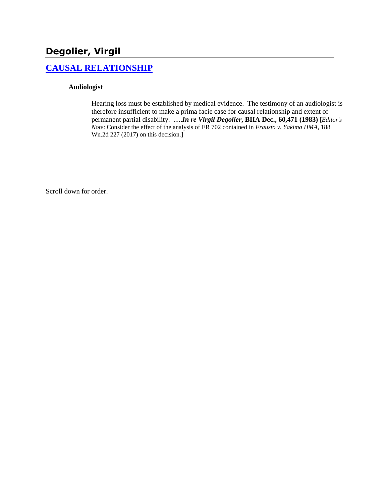# **Degolier, Virgil**

## **[CAUSAL RELATIONSHIP](http://www.biia.wa.gov/SDSubjectIndex.html#CAUSAL_RELATIONSHIP/)**

#### **Audiologist**

Hearing loss must be established by medical evidence. The testimony of an audiologist is therefore insufficient to make a prima facie case for causal relationship and extent of permanent partial disability. **….***In re Virgil Degolier***, BIIA Dec., 60,471 (1983)** [*Editor's Note*: Consider the effect of the analysis of ER 702 contained in *Frausto v. Yakima HMA*, 188 Wn.2d 227 (2017) on this decision.]

Scroll down for order.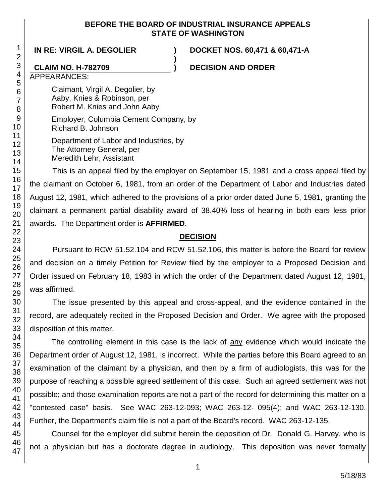#### **BEFORE THE BOARD OF INDUSTRIAL INSURANCE APPEALS STATE OF WASHINGTON**

**)**

**IN RE: VIRGIL A. DEGOLIER ) DOCKET NOS. 60,471 & 60,471-A**

#### **CLAIM NO. H-782709 ) DECISION AND ORDER**

APPEARANCES:

Claimant, Virgil A. Degolier, by Aaby, Knies & Robinson, per Robert M. Knies and John Aaby

Employer, Columbia Cement Company, by Richard B. Johnson

Department of Labor and Industries, by The Attorney General, per

Meredith Lehr, Assistant

This is an appeal filed by the employer on September 15, 1981 and a cross appeal filed by the claimant on October 6, 1981, from an order of the Department of Labor and Industries dated August 12, 1981, which adhered to the provisions of a prior order dated June 5, 1981, granting the claimant a permanent partial disability award of 38.40% loss of hearing in both ears less prior awards. The Department order is **AFFIRMED**.

### **DECISION**

Pursuant to RCW 51.52.104 and RCW 51.52.106, this matter is before the Board for review and decision on a timely Petition for Review filed by the employer to a Proposed Decision and Order issued on February 18, 1983 in which the order of the Department dated August 12, 1981, was affirmed.

The issue presented by this appeal and cross-appeal, and the evidence contained in the record, are adequately recited in the Proposed Decision and Order. We agree with the proposed disposition of this matter.

The controlling element in this case is the lack of any evidence which would indicate the Department order of August 12, 1981, is incorrect. While the parties before this Board agreed to an examination of the claimant by a physician, and then by a firm of audiologists, this was for the purpose of reaching a possible agreed settlement of this case. Such an agreed settlement was not possible; and those examination reports are not a part of the record for determining this matter on a "contested case" basis. See WAC 263-12-093; WAC 263-12- 095(4); and WAC 263-12-130. Further, the Department's claim file is not a part of the Board's record. WAC 263-12-135.

Counsel for the employer did submit herein the deposition of Dr. Donald G. Harvey, who is not a physician but has a doctorate degree in audiology. This deposition was never formally

1